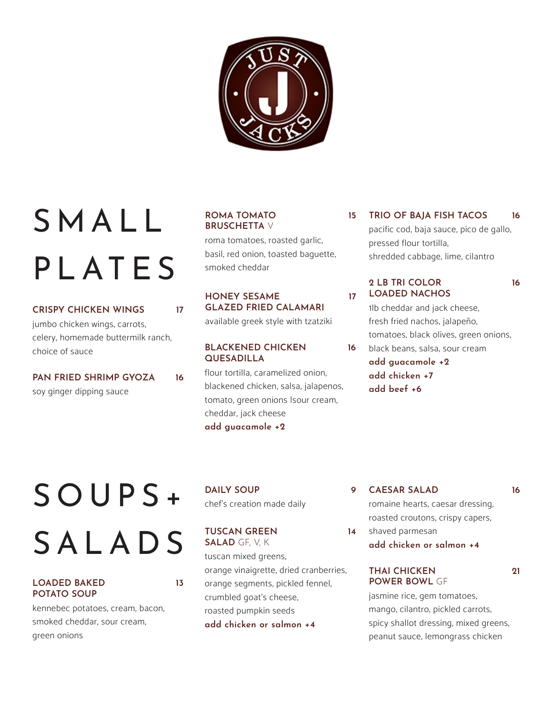

# S M A L L PLATES

#### **CRISPY CHICKEN WINGS 17**

jumbo chicken wings, carrots, celery, homemade buttermilk ranch, choice of sauce

**PAN FRIED SHRIMP GYOZA 16** soy ginger dipping sauce

#### **ROMA TOMATO BRUSCHETTA** V

roma tomatoes, roasted garlic, basil, red onion, toasted baguette, smoked cheddar

#### **HONEY SESAME GLAZED FRIED CALAMARI**

available greek style with tzatziki

#### **BLACKENED CHICKEN QUESADILLA**

flour tortilla, caramelized onion, blackened chicken, salsa, jalapenos, tomato, green onions Isour cream, cheddar, jack cheese **add guacamole +2**

**15 TRIO OF BAJA FISH TACOS 16** pacific cod, baja sauce, pico de gallo, pressed flour tortilla, shredded cabbage, lime, cilantro

#### **2 LB TRI COLOR LOADED NACHOS**

**17**

**16**

**14**

1lb cheddar and jack cheese, fresh fried nachos, jalapeño, tomatoes, black olives, green onions, black beans, salsa, sour cream **add guacamole +2 add chicken +7 add beef +6** 

# S O U P S + SALADS

#### **LOADED BAKED POTATO SOUP**

**13**

kennebec potatoes, cream, bacon, smoked cheddar, sour cream, green onions

**DAILY SOUP 9** chef's creation made daily

**TUSCAN GREEN SALAD** GF, V, K tuscan mixed greens, orange vinaigrette, dried cranberries, orange segments, pickled fennel, crumbled goat's cheese, roasted pumpkin seeds **add chicken or salmon +4**

**CAESAR SALAD 16**

**16**

romaine hearts, caesar dressing, roasted croutons, crispy capers,

shaved parmesan **add chicken or salmon +4**

#### **THAI CHICKEN POWER BOWL** GF

**21**

jasmine rice, gem tomatoes, mango, cilantro, pickled carrots, spicy shallot dressing, mixed greens, peanut sauce, lemongrass chicken